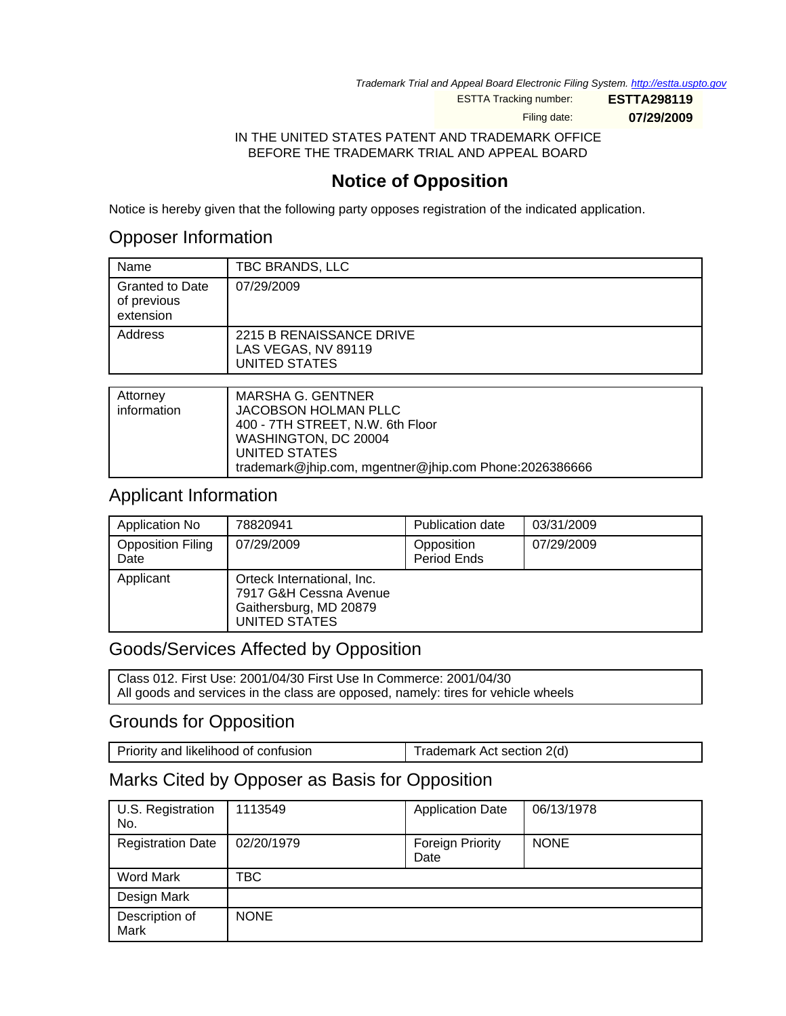Trademark Trial and Appeal Board Electronic Filing System. <http://estta.uspto.gov>

ESTTA Tracking number: **ESTTA298119**

Filing date: **07/29/2009**

IN THE UNITED STATES PATENT AND TRADEMARK OFFICE BEFORE THE TRADEMARK TRIAL AND APPEAL BOARD

# **Notice of Opposition**

Notice is hereby given that the following party opposes registration of the indicated application.

# Opposer Information

| Name                                               | TBC BRANDS, LLC                                                         |
|----------------------------------------------------|-------------------------------------------------------------------------|
| <b>Granted to Date</b><br>of previous<br>extension | 07/29/2009                                                              |
| Address                                            | 2215 B RENAISSANCE DRIVE<br>LAS VEGAS, NV 89119<br><b>UNITED STATES</b> |
|                                                    |                                                                         |
| Attorney<br>information                            | <b>MARSHA G. GENTNER</b><br>IACORSON HOLMAN PLLC                        |

| information | JACOBSON HOLMAN PLLC                                   |
|-------------|--------------------------------------------------------|
|             | 400 - 7TH STREET, N.W. 6th Floor                       |
|             | WASHINGTON, DC 20004                                   |
|             | UNITED STATES                                          |
|             | trademark@jhip.com, mgentner@jhip.com Phone:2026386666 |

## Applicant Information

| Application No                   | 78820941                                                                                        | Publication date          | 03/31/2009 |
|----------------------------------|-------------------------------------------------------------------------------------------------|---------------------------|------------|
| <b>Opposition Filing</b><br>Date | 07/29/2009                                                                                      | Opposition<br>Period Ends | 07/29/2009 |
| Applicant                        | Orteck International, Inc.<br>7917 G&H Cessna Avenue<br>Gaithersburg, MD 20879<br>UNITED STATES |                           |            |

# Goods/Services Affected by Opposition

Class 012. First Use: 2001/04/30 First Use In Commerce: 2001/04/30 All goods and services in the class are opposed, namely: tires for vehicle wheels

## Grounds for Opposition

| Trademark Act section 2(d) |
|----------------------------|
|                            |

# Marks Cited by Opposer as Basis for Opposition

| U.S. Registration<br>No. | 1113549     | <b>Application Date</b>         | 06/13/1978  |
|--------------------------|-------------|---------------------------------|-------------|
| <b>Registration Date</b> | 02/20/1979  | <b>Foreign Priority</b><br>Date | <b>NONE</b> |
| Word Mark                | TBC         |                                 |             |
| Design Mark              |             |                                 |             |
| Description of<br>Mark   | <b>NONE</b> |                                 |             |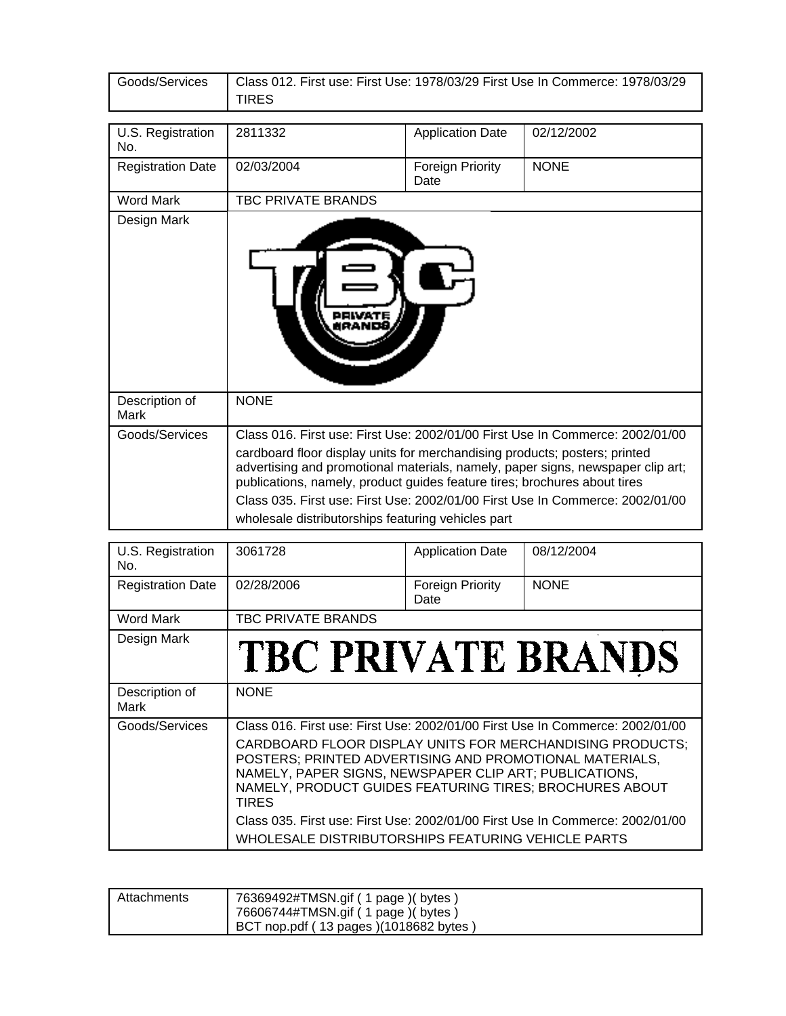| Goods/Services           | Class 012. First use: First Use: 1978/03/29 First Use In Commerce: 1978/03/29<br><b>TIRES</b>                                                                                                                                                                                                                                                                                                                                                                      |                          |             |
|--------------------------|--------------------------------------------------------------------------------------------------------------------------------------------------------------------------------------------------------------------------------------------------------------------------------------------------------------------------------------------------------------------------------------------------------------------------------------------------------------------|--------------------------|-------------|
|                          |                                                                                                                                                                                                                                                                                                                                                                                                                                                                    |                          |             |
| U.S. Registration<br>No. | 2811332                                                                                                                                                                                                                                                                                                                                                                                                                                                            | <b>Application Date</b>  | 02/12/2002  |
| <b>Registration Date</b> | 02/03/2004                                                                                                                                                                                                                                                                                                                                                                                                                                                         | Foreign Priority<br>Date | <b>NONE</b> |
| <b>Word Mark</b>         | TBC PRIVATE BRANDS                                                                                                                                                                                                                                                                                                                                                                                                                                                 |                          |             |
| Design Mark              |                                                                                                                                                                                                                                                                                                                                                                                                                                                                    |                          |             |
| Description of<br>Mark   | <b>NONE</b>                                                                                                                                                                                                                                                                                                                                                                                                                                                        |                          |             |
| Goods/Services           | Class 016. First use: First Use: 2002/01/00 First Use In Commerce: 2002/01/00<br>cardboard floor display units for merchandising products; posters; printed<br>advertising and promotional materials, namely, paper signs, newspaper clip art;<br>publications, namely, product guides feature tires; brochures about tires<br>Class 035. First use: First Use: 2002/01/00 First Use In Commerce: 2002/01/00<br>wholesale distributorships featuring vehicles part |                          |             |

| U.S. Registration<br>No. | 3061728                                                                                                                                                                                                                                                                                                                                    | <b>Application Date</b>         | 08/12/2004  |
|--------------------------|--------------------------------------------------------------------------------------------------------------------------------------------------------------------------------------------------------------------------------------------------------------------------------------------------------------------------------------------|---------------------------------|-------------|
| <b>Registration Date</b> | 02/28/2006                                                                                                                                                                                                                                                                                                                                 | <b>Foreign Priority</b><br>Date | <b>NONE</b> |
| Word Mark                | TBC PRIVATE BRANDS                                                                                                                                                                                                                                                                                                                         |                                 |             |
| Design Mark              | TBC PRIVATE BRANDS                                                                                                                                                                                                                                                                                                                         |                                 |             |
| Description of<br>Mark   | <b>NONE</b>                                                                                                                                                                                                                                                                                                                                |                                 |             |
| Goods/Services           | Class 016. First use: First Use: 2002/01/00 First Use In Commerce: 2002/01/00<br>CARDBOARD FLOOR DISPLAY UNITS FOR MERCHANDISING PRODUCTS;<br>POSTERS; PRINTED ADVERTISING AND PROMOTIONAL MATERIALS,<br>NAMELY, PAPER SIGNS, NEWSPAPER CLIP ART; PUBLICATIONS,<br>NAMELY, PRODUCT GUIDES FEATURING TIRES; BROCHURES ABOUT<br><b>TIRES</b> |                                 |             |
|                          | Class 035. First use: First Use: 2002/01/00 First Use In Commerce: 2002/01/00<br>WHOLESALE DISTRIBUTORSHIPS FEATURING VEHICLE PARTS                                                                                                                                                                                                        |                                 |             |

| Attachments | 76369492#TMSN.gif ( 1 page )( bytes )<br>76606744#TMSN.gif ( 1 page ) ( bytes )<br>BCT nop.pdf (13 pages)(1018682 bytes) |
|-------------|--------------------------------------------------------------------------------------------------------------------------|
|-------------|--------------------------------------------------------------------------------------------------------------------------|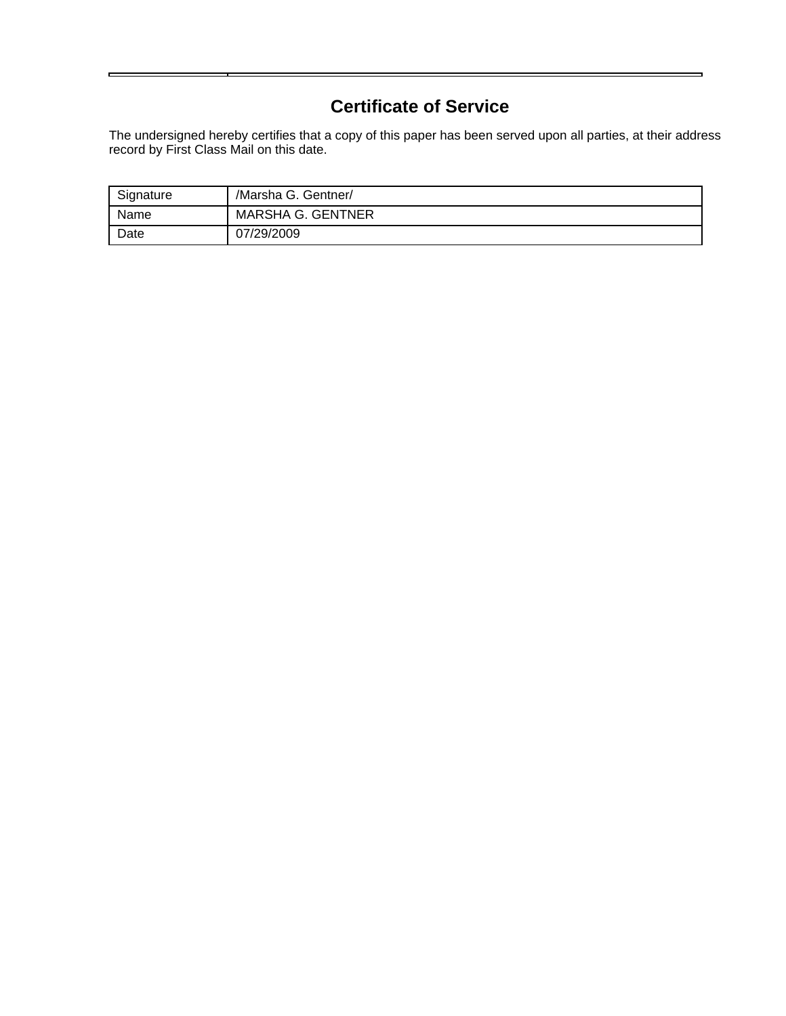# **Certificate of Service**

The undersigned hereby certifies that a copy of this paper has been served upon all parties, at their address record by First Class Mail on this date.

| Signature | /Marsha G. Gentner/      |
|-----------|--------------------------|
| Name      | <b>MARSHA G. GENTNER</b> |
| Date      | 07/29/2009               |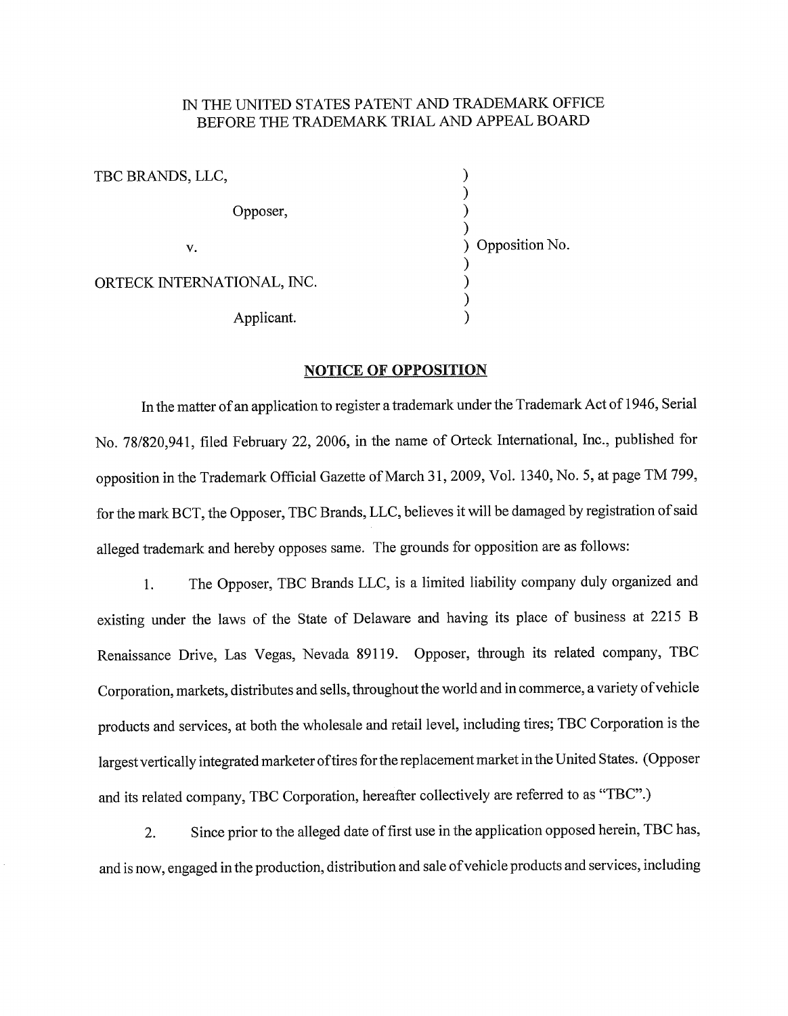#### IN THE UNITED STATES PATENT AND TRADEMARK OFFICE BEFORE THE TRADEMARK TRIAL AND APPEAL BOARD

 $\mathcal{E}$ TBC BRANDS, LLC,  $\lambda$ Opposer,  $\lambda$ 冫 ) Opposition No.  $V_{\bullet}$  $\overline{\phantom{a}}$ ORTECK INTERNATIONAL, INC.  $\frac{1}{2}$  $\lambda$ Applicant.

#### **NOTICE OF OPPOSITION**

In the matter of an application to register a trademark under the Trademark Act of 1946, Serial No. 78/820,941, filed February 22, 2006, in the name of Orteck International, Inc., published for opposition in the Trademark Official Gazette of March 31, 2009, Vol. 1340, No. 5, at page TM 799, for the mark BCT, the Opposer, TBC Brands, LLC, believes it will be damaged by registration of said alleged trademark and hereby opposes same. The grounds for opposition are as follows:

The Opposer, TBC Brands LLC, is a limited liability company duly organized and  $1<sub>z</sub>$ existing under the laws of the State of Delaware and having its place of business at 2215 B Renaissance Drive, Las Vegas, Nevada 89119. Opposer, through its related company, TBC Corporation, markets, distributes and sells, throughout the world and in commerce, a variety of vehicle products and services, at both the wholesale and retail level, including tires; TBC Corporation is the largest vertically integrated marketer of tires for the replacement market in the United States. (Opposer and its related company, TBC Corporation, hereafter collectively are referred to as "TBC".)

Since prior to the alleged date of first use in the application opposed herein, TBC has, 2. and is now, engaged in the production, distribution and sale of vehicle products and services, including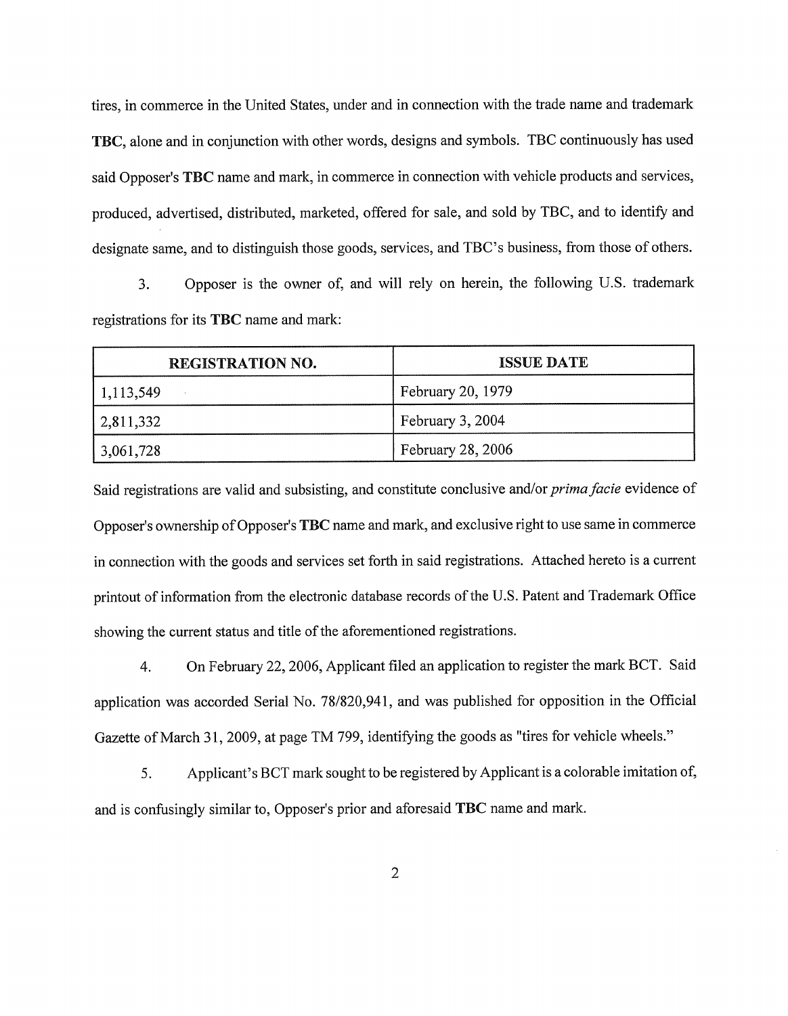tires, in commerce in the United States, under and in connection with the trade name and trademark TBC, alone and in conjunction with other words, designs and symbols. TBC continuously has used said Opposer's TBC name and mark, in commerce in connection with vehicle products and services, produced, advertised, distributed, marketed, offered for sale, and sold by TBC, and to identify and designate same, and to distinguish those goods, services, and TBC's business, from those of others.

Opposer is the owner of, and will rely on herein, the following U.S. trademark  $3.$ registrations for its TBC name and mark:

| <b>REGISTRATION NO.</b> | <b>ISSUE DATE</b>        |
|-------------------------|--------------------------|
| $\frac{1,113,549}{ }$   | February 20, 1979        |
| 2,811,332               | February 3, 2004         |
| $ 3,061,728\rangle$     | <b>February 28, 2006</b> |

Said registrations are valid and subsisting, and constitute conclusive and/or *prima facie* evidence of Opposer's ownership of Opposer's TBC name and mark, and exclusive right to use same in commerce in connection with the goods and services set forth in said registrations. Attached hereto is a current printout of information from the electronic database records of the U.S. Patent and Trademark Office showing the current status and title of the aforementioned registrations.

On February 22, 2006, Applicant filed an application to register the mark BCT. Said  $4.$ application was accorded Serial No. 78/820,941, and was published for opposition in the Official Gazette of March 31, 2009, at page TM 799, identifying the goods as "tires for vehicle wheels."

Applicant's BCT mark sought to be registered by Applicant is a colorable imitation of,  $5<sub>1</sub>$ and is confusingly similar to, Opposer's prior and aforesaid TBC name and mark.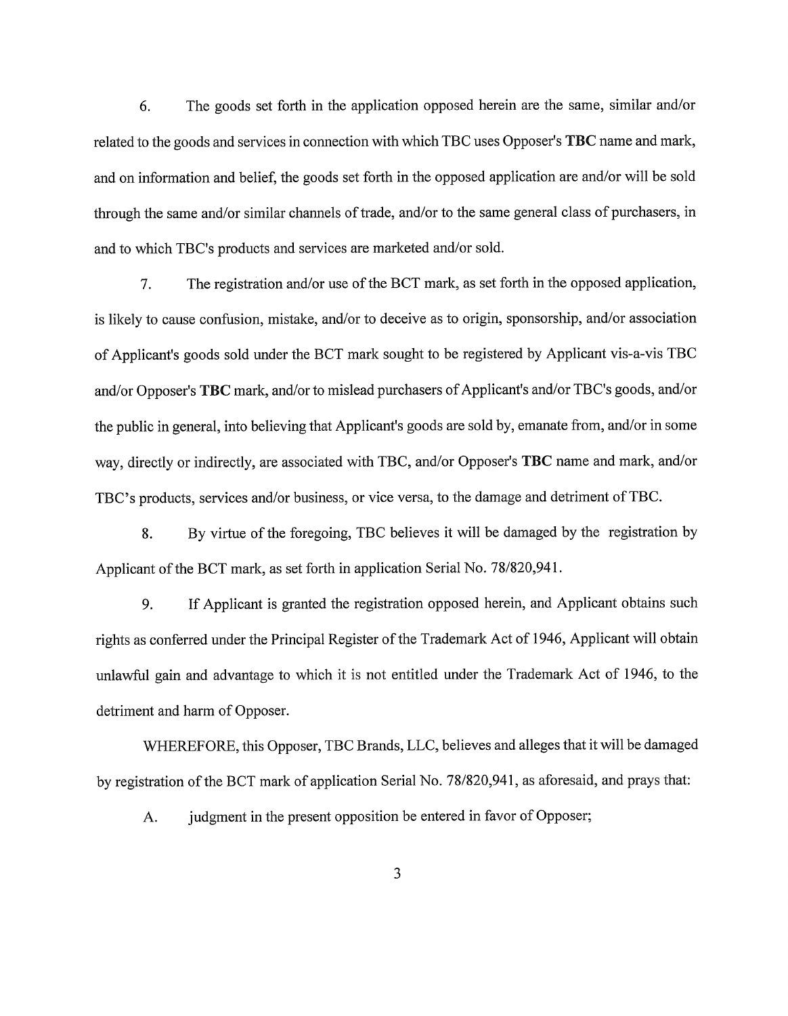6. The goods set forth in the application opposed herein are the same, similar and/or related to the goods and services in connection with which TBC uses Opposer's TBC name and mark, and on information and belief, the goods set forth in the opposed application are and/or will be sold through the same and/or similar channels of trade, and/or to the same general class of purchasers, in and to which TBC's products and services are marketed and/or sold.

The registration and/or use of the BCT mark, as set forth in the opposed application, 7. is likely to cause confusion, mistake, and/or to deceive as to origin, sponsorship, and/or association of Applicant's goods sold under the BCT mark sought to be registered by Applicant vis-a-vis TBC and/or Opposer's TBC mark, and/or to mislead purchasers of Applicant's and/or TBC's goods, and/or the public in general, into believing that Applicant's goods are sold by, emanate from, and/or in some way, directly or indirectly, are associated with TBC, and/or Opposer's TBC name and mark, and/or TBC's products, services and/or business, or vice versa, to the damage and detriment of TBC.

By virtue of the foregoing, TBC believes it will be damaged by the registration by 8. Applicant of the BCT mark, as set forth in application Serial No. 78/820,941.

9. If Applicant is granted the registration opposed herein, and Applicant obtains such rights as conferred under the Principal Register of the Trademark Act of 1946, Applicant will obtain unlawful gain and advantage to which it is not entitled under the Trademark Act of 1946, to the detriment and harm of Opposer.

WHEREFORE, this Opposer, TBC Brands, LLC, believes and alleges that it will be damaged by registration of the BCT mark of application Serial No. 78/820,941, as aforesaid, and prays that:

judgment in the present opposition be entered in favor of Opposer; A.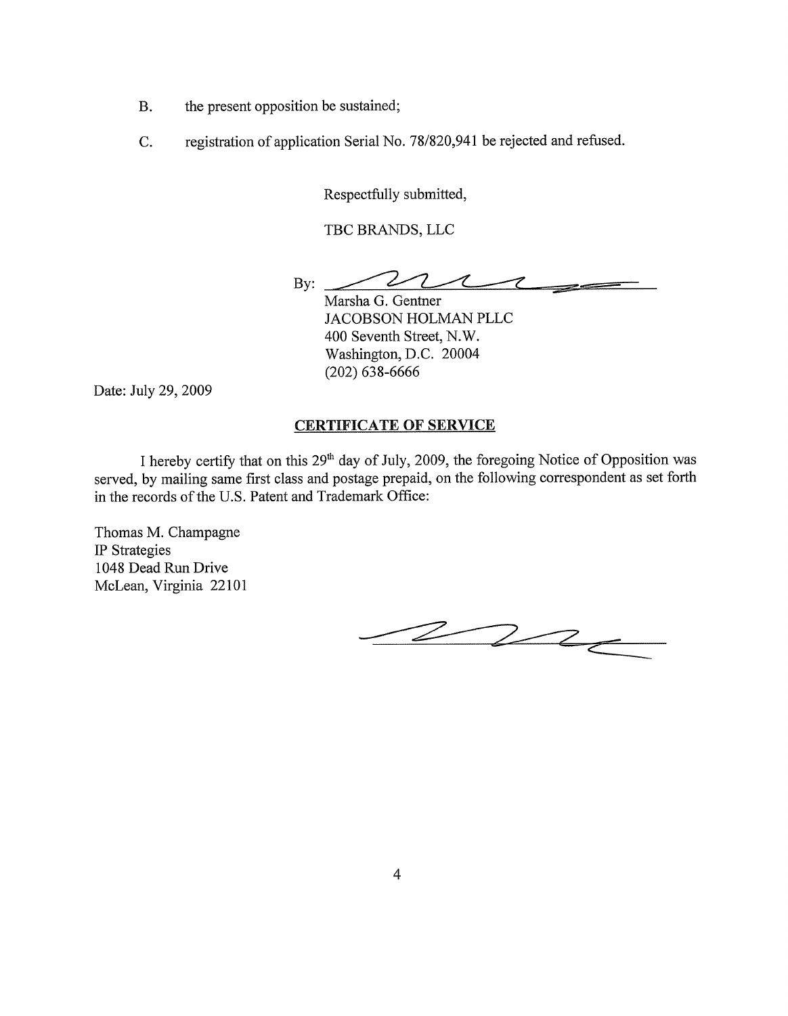- the present opposition be sustained; B.
- C. registration of application Serial No. 78/820,941 be rejected and refused.

Respectfully submitted,

TBC BRANDS, LLC

Z  $\mathbf{By:}$ -7  $\boldsymbol{\mathcal{J}}$  $\equiv$ 

Marsha G. Gentner JACOBSON HOLMAN PLLC 400 Seventh Street, N.W. Washington, D.C. 20004  $(202)$  638-6666

Date: July 29, 2009

#### **CERTIFICATE OF SERVICE**

I hereby certify that on this 29<sup>th</sup> day of July, 2009, the foregoing Notice of Opposition was served, by mailing same first class and postage prepaid, on the following correspondent as set forth in the records of the U.S. Patent and Trademark Office:

Thomas M. Champagne IP Strategies 1048 Dead Run Drive McLean, Virginia 22101

 $222$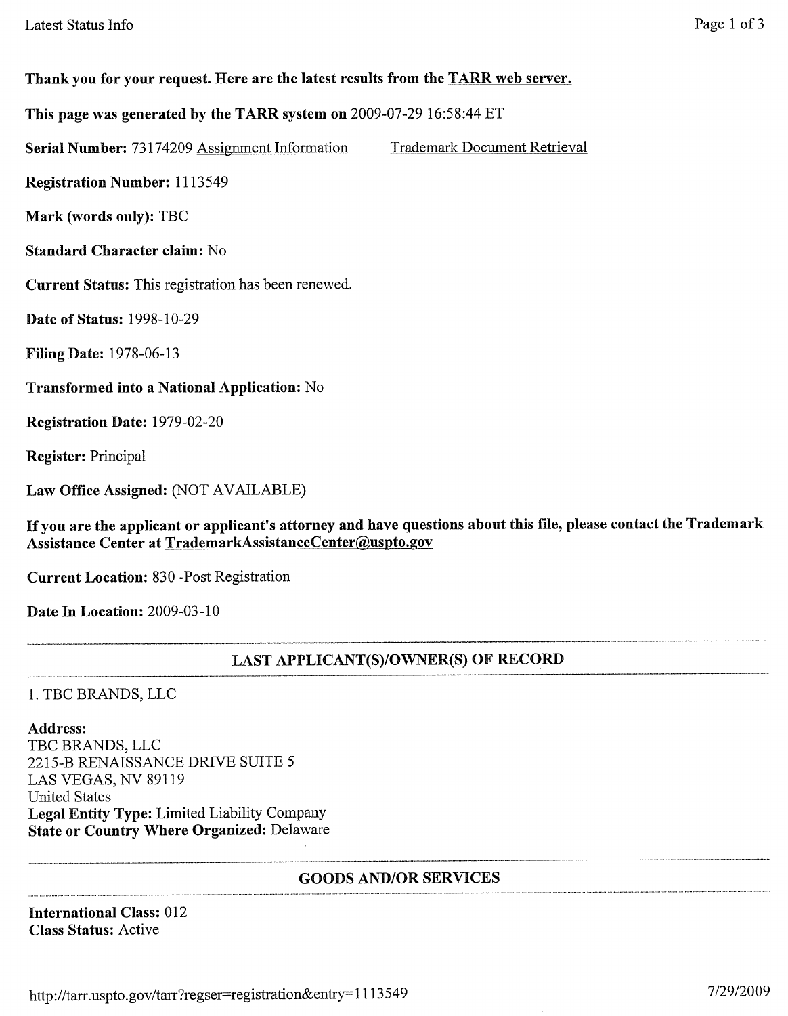## Thank you for your request. Here are the latest results from the TARR web server.

This page was generated by the TARR system on 2009-07-29 16:58:44 ET

Serial Number: 73174209 Assignment Information **Trademark Document Retrieval** 

**Registration Number: 1113549** 

Mark (words only): TBC

**Standard Character claim: No** 

Current Status: This registration has been renewed.

**Date of Status: 1998-10-29** 

**Filing Date: 1978-06-13** 

Transformed into a National Application: No

Registration Date: 1979-02-20

**Register:** Principal

Law Office Assigned: (NOT AVAILABLE)

If you are the applicant or applicant's attorney and have questions about this file, please contact the Trademark Assistance Center at TrademarkAssistanceCenter@uspto.gov

**Current Location: 830 -Post Registration** 

Date In Location: 2009-03-10

## **LAST APPLICANT(S)/OWNER(S) OF RECORD**

1. TBC BRANDS, LLC

#### Address:

TBC BRANDS, LLC 2215-B RENAISSANCE DRIVE SUITE 5 LAS VEGAS, NV 89119 **United States** Legal Entity Type: Limited Liability Company **State or Country Where Organized: Delaware** 

#### **GOODS AND/OR SERVICES**

**International Class: 012 Class Status: Active**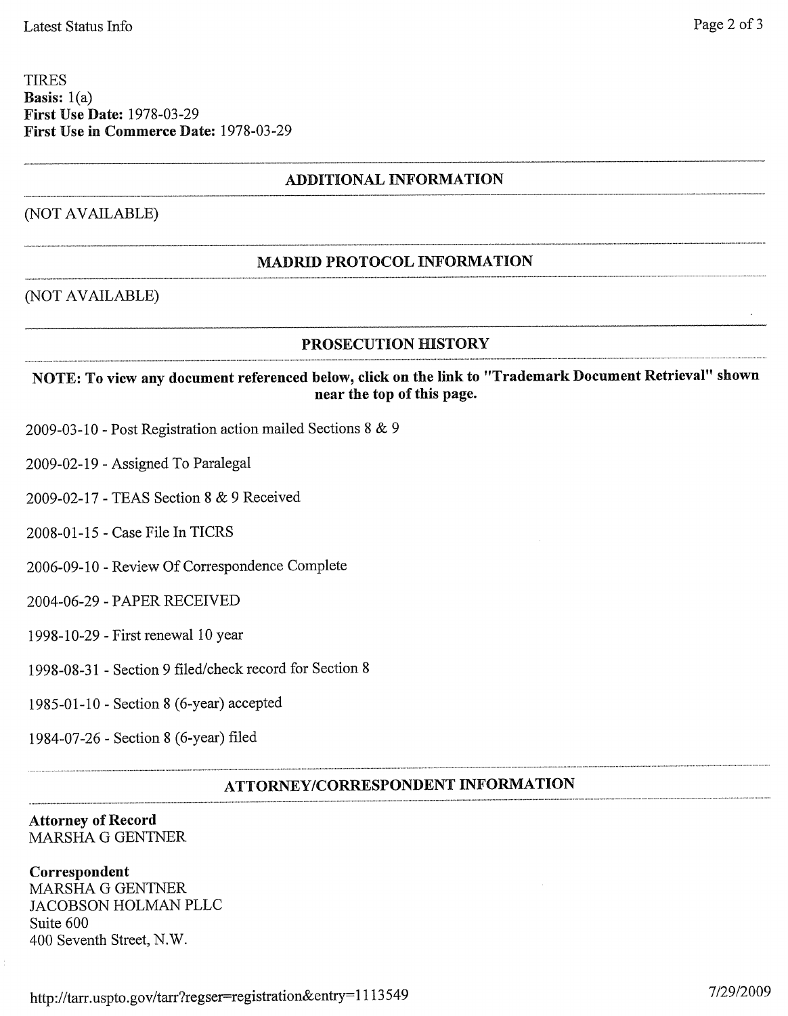#### **TIRES** Basis:  $1(a)$ **First Use Date: 1978-03-29** First Use in Commerce Date: 1978-03-29

## **ADDITIONAL INFORMATION**

#### (NOT AVAILABLE)

## **MADRID PROTOCOL INFORMATION**

#### (NOT AVAILABLE)

#### **PROSECUTION HISTORY**

## NOTE: To view any document referenced below, click on the link to "Trademark Document Retrieval" shown near the top of this page.

- 2009-03-10 Post Registration action mailed Sections 8 & 9
- 2009-02-19 Assigned To Paralegal
- 2009-02-17 TEAS Section 8 & 9 Received
- 2008-01-15 Case File In TICRS
- 2006-09-10 Review Of Correspondence Complete
- 2004-06-29 PAPER RECEIVED
- 1998-10-29 First renewal 10 year
- 1998-08-31 Section 9 filed/check record for Section 8
- 1985-01-10 Section 8 (6-year) accepted

#### 1984-07-26 - Section 8 (6-year) filed

## ATTORNEY/CORRESPONDENT INFORMATION

#### **Attorney of Record MARSHA G GENTNER**

# Correspondent MARSHA G GENTNER

**JACOBSON HOLMAN PLLC** Suite 600 400 Seventh Street, N.W.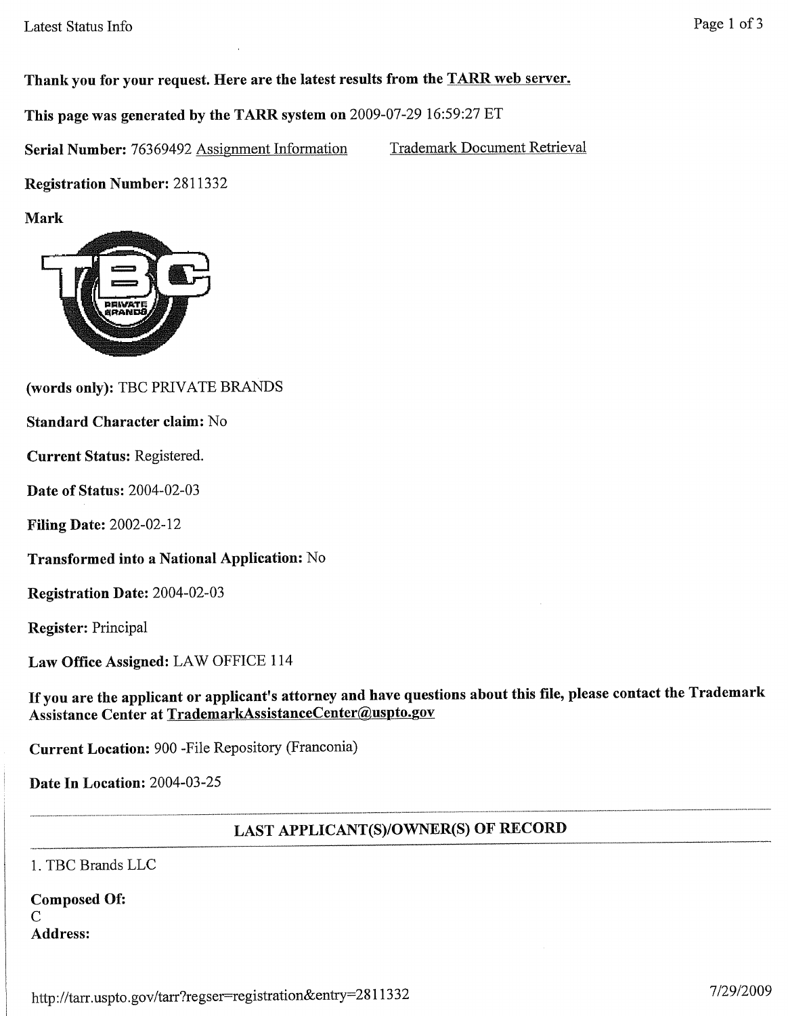Thank you for your request. Here are the latest results from the TARR web server.

This page was generated by the TARR system on 2009-07-29 16:59:27 ET

Serial Number: 76369492 Assignment Information **Trademark Document Retrieval** 

**Registration Number: 2811332** 

**Mark** 



(words only): TBC PRIVATE BRANDS

#### **Standard Character claim: No**

Current Status: Registered.

**Date of Status: 2004-02-03** 

**Filing Date: 2002-02-12** 

Transformed into a National Application: No

Registration Date: 2004-02-03

**Register: Principal** 

Law Office Assigned: LAW OFFICE 114

If you are the applicant or applicant's attorney and have questions about this file, please contact the Trademark Assistance Center at TrademarkAssistanceCenter@uspto.gov

Current Location: 900 - File Repository (Franconia)

Date In Location: 2004-03-25

## LAST APPLICANT(S)/OWNER(S) OF RECORD

1. TBC Brands LLC

| <b>Composed Of:</b> |  |
|---------------------|--|
| C                   |  |
| <b>Address:</b>     |  |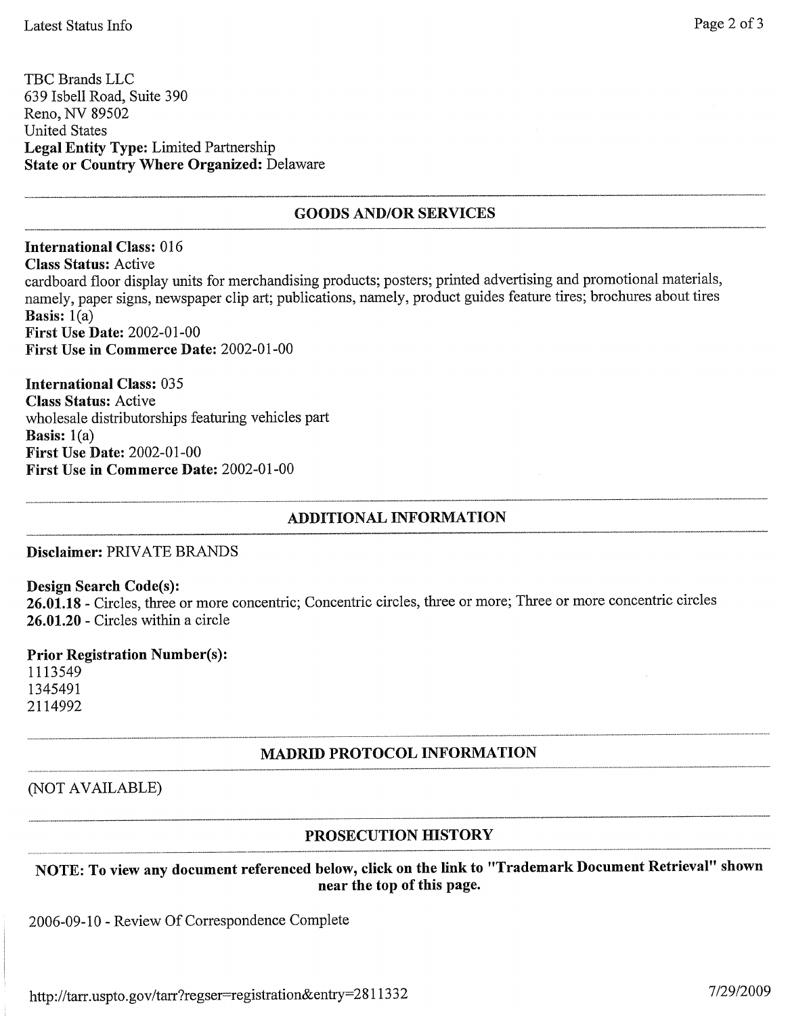TBC Brands LLC 639 Isbell Road, Suite 390 Reno, NV 89502 **United States Legal Entity Type: Limited Partnership State or Country Where Organized: Delaware** 

## **GOODS AND/OR SERVICES**

**International Class: 016 Class Status: Active** cardboard floor display units for merchandising products; posters; printed advertising and promotional materials, namely, paper signs, newspaper clip art; publications, namely, product guides feature tires; brochures about tires **Basis:**  $1(a)$ **First Use Date: 2002-01-00** First Use in Commerce Date: 2002-01-00

**International Class: 035 Class Status:** Active wholesale distributorships featuring vehicles part **Basis:**  $1(a)$ **First Use Date: 2002-01-00** First Use in Commerce Date: 2002-01-00

## **ADDITIONAL INFORMATION**

Disclaimer: PRIVATE BRANDS

#### **Design Search Code(s):**

26.01.18 - Circles, three or more concentric; Concentric circles, three or more; Three or more concentric circles 26.01.20 - Circles within a circle

#### **Prior Registration Number(s):**

1113549 1345491 2114992

## **MADRID PROTOCOL INFORMATION**

## (NOT AVAILABLE)

## PROSECUTION HISTORY

NOTE: To view any document referenced below, click on the link to "Trademark Document Retrieval" shown near the top of this page.

2006-09-10 - Review Of Correspondence Complete

http://tarr.uspto.gov/tarr?regser=registration&entry=2811332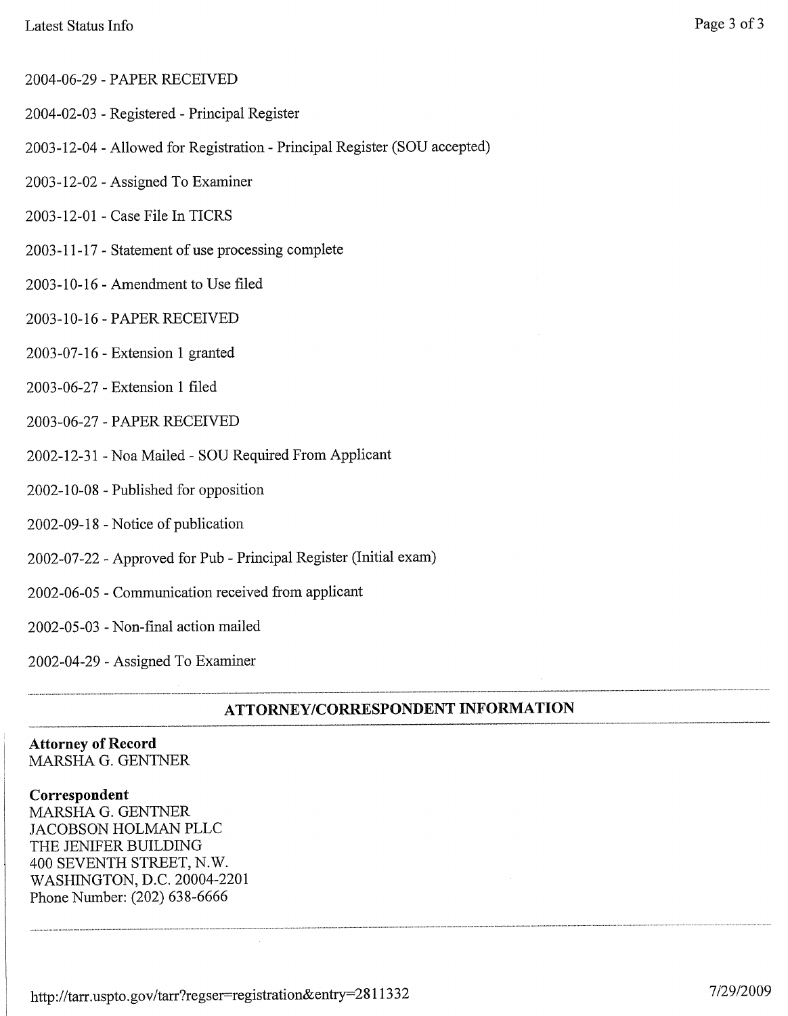- 2004-06-29 PAPER RECEIVED
- 2004-02-03 Registered Principal Register
- 2003-12-04 Allowed for Registration Principal Register (SOU accepted)
- 2003-12-02 Assigned To Examiner
- 2003-12-01 Case File In TICRS
- 2003-11-17 Statement of use processing complete
- 2003-10-16 Amendment to Use filed
- 2003-10-16 PAPER RECEIVED
- 2003-07-16 Extension 1 granted
- 2003-06-27 Extension 1 filed
- 2003-06-27 PAPER RECEIVED
- 2002-12-31 Noa Mailed SOU Required From Applicant
- 2002-10-08 Published for opposition
- 2002-09-18 Notice of publication
- 2002-07-22 Approved for Pub Principal Register (Initial exam)
- 2002-06-05 Communication received from applicant
- 2002-05-03 Non-final action mailed

2002-04-29 - Assigned To Examiner

## **ATTORNEY/CORRESPONDENT INFORMATION**

#### **Attorney of Record** MARSHA G. GENTNER

#### Correspondent

MARSHA G. GENTNER JACOBSON HOLMAN PLLC THE JENIFER BUILDING 400 SEVENTH STREET, N.W. WASHINGTON, D.C. 20004-2201 Phone Number: (202) 638-6666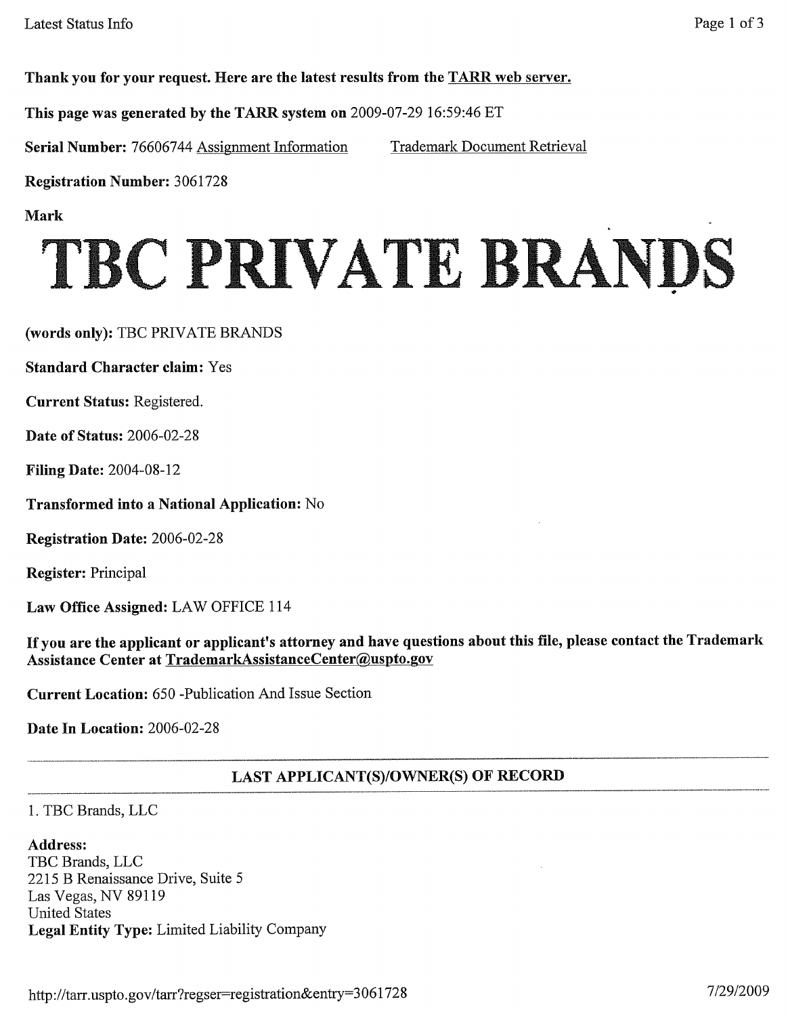Thank you for your request. Here are the latest results from the TARR web server.

This page was generated by the TARR system on 2009-07-29 16:59:46 ET

Serial Number: 76606744 Assignment Information

**Trademark Document Retrieval** 

**Registration Number: 3061728** 

**Mark** 

# TBC PRIVATE BRANDS

(words only): TBC PRIVATE BRANDS

**Standard Character claim: Yes** 

Current Status: Registered.

**Date of Status: 2006-02-28** 

**Filing Date: 2004-08-12** 

**Transformed into a National Application:** No

Registration Date: 2006-02-28

**Register:** Principal

Law Office Assigned: LAW OFFICE 114

If you are the applicant or applicant's attorney and have questions about this file, please contact the Trademark Assistance Center at TrademarkAssistanceCenter@uspto.gov

Current Location: 650 -Publication And Issue Section

Date In Location: 2006-02-28

## **LAST APPLICANT(S)/OWNER(S) OF RECORD**

1. TBC Brands, LLC

#### **Address:**

TBC Brands, LLC 2215 B Renaissance Drive, Suite 5 Las Vegas, NV 89119 **United States** Legal Entity Type: Limited Liability Company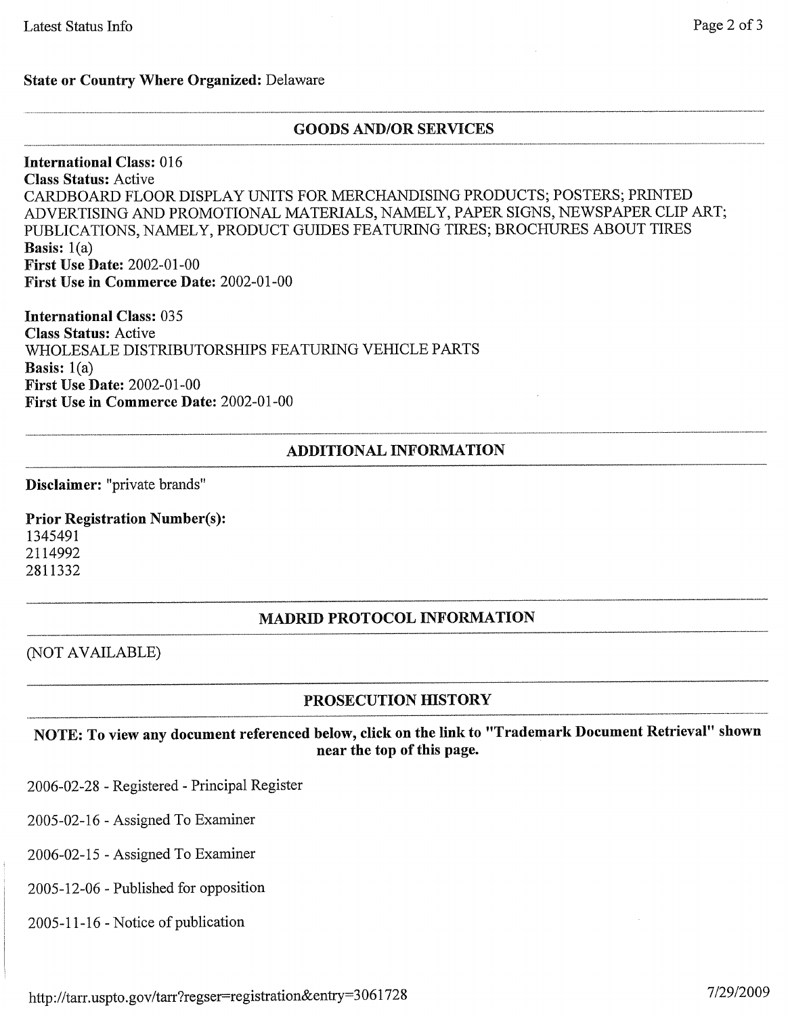#### **State or Country Where Organized: Delaware**

#### **GOODS AND/OR SERVICES**

**International Class: 016 Class Status: Active** CARDBOARD FLOOR DISPLAY UNITS FOR MERCHANDISING PRODUCTS; POSTERS; PRINTED ADVERTISING AND PROMOTIONAL MATERIALS, NAMELY, PAPER SIGNS, NEWSPAPER CLIP ART; PUBLICATIONS, NAMELY, PRODUCT GUIDES FEATURING TIRES; BROCHURES ABOUT TIRES Basis:  $1(a)$ **First Use Date: 2002-01-00** First Use in Commerce Date: 2002-01-00

**International Class: 035 Class Status: Active** WHOLESALE DISTRIBUTORSHIPS FEATURING VEHICLE PARTS **Basis:**  $1(a)$ **First Use Date: 2002-01-00** First Use in Commerce Date: 2002-01-00

#### **ADDITIONAL INFORMATION**

Disclaimer: "private brands"

**Prior Registration Number(s):** 1345491 2114992 2811332

## **MADRID PROTOCOL INFORMATION**

(NOT AVAILABLE)

## PROSECUTION HISTORY

NOTE: To view any document referenced below, click on the link to "Trademark Document Retrieval" shown near the top of this page.

2006-02-28 - Registered - Principal Register

2005-02-16 - Assigned To Examiner

2006-02-15 - Assigned To Examiner

2005-12-06 - Published for opposition

2005-11-16 - Notice of publication